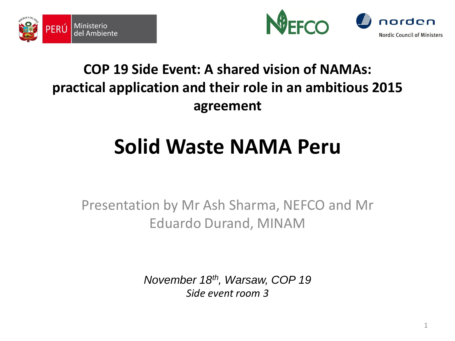



#### **COP 19 Side Event: A shared vision of NAMAs: practical application and their role in an ambitious 2015 agreement**

# **Solid Waste NAMA Peru**

Presentation by Mr Ash Sharma, NEFCO and Mr Eduardo Durand, MINAM

> *November 18th, Warsaw, COP 19 Side event room 3*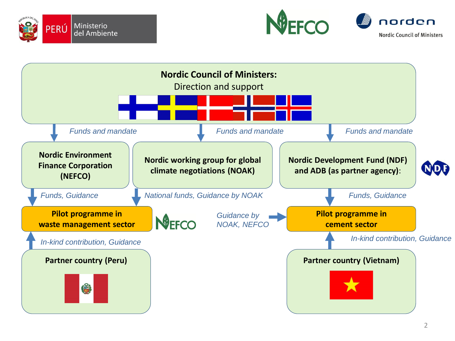





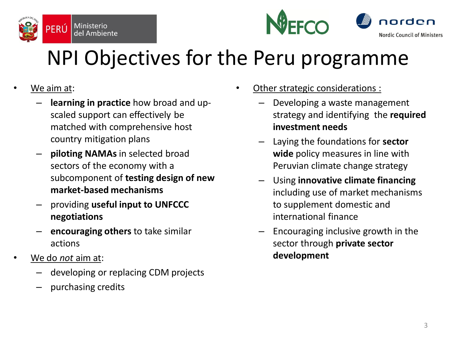



# NPI Objectives for the Peru programme

- We aim at:
	- **learning in practice** how broad and upscaled support can effectively be matched with comprehensive host country mitigation plans
	- **piloting NAMAs** in selected broad sectors of the economy with a subcomponent of **testing design of new market-based mechanisms**
	- providing **useful input to UNFCCC negotiations**
	- **encouraging others** to take similar actions
- We do *not* aim at:
	- developing or replacing CDM projects
	- purchasing credits
- Other strategic considerations :
	- Developing a waste management strategy and identifying the **required investment needs**
	- Laying the foundations for **sector wide** policy measures in line with Peruvian climate change strategy
	- Using **innovative climate financing**  including use of market mechanisms to supplement domestic and international finance
	- Encouraging inclusive growth in the sector through **private sector development**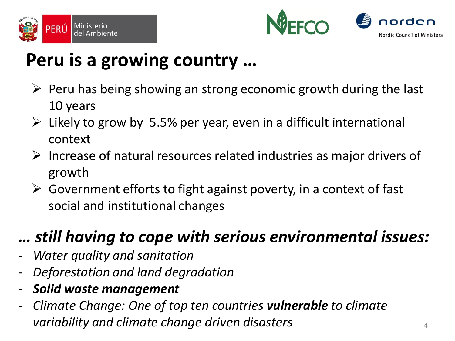



#### **Peru is a growing country …**

- $\triangleright$  Peru has being showing an strong economic growth during the last 10 years
- $\triangleright$  Likely to grow by 5.5% per year, even in a difficult international context
- $\triangleright$  Increase of natural resources related industries as major drivers of growth
- $\triangleright$  Government efforts to fight against poverty, in a context of fast social and institutional changes

#### *… still having to cope with serious environmental issues:*

- *Water quality and sanitation*
- *Deforestation and land degradation*
- *Solid waste management*
- *Climate Change: One of top ten countries vulnerable to climate variability and climate change driven disasters* <sup>4</sup>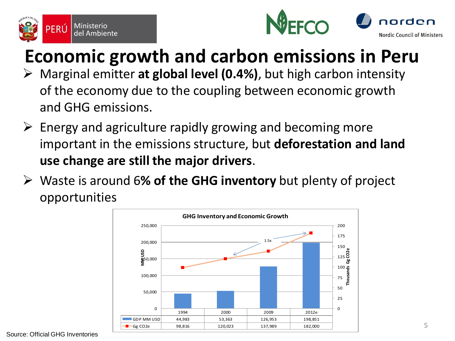





#### **Economic growth and carbon emissions in Peru**

- Marginal emitter **at global level (0.4%)**, but high carbon intensity of the economy due to the coupling between economic growth and GHG emissions.
- $\triangleright$  Energy and agriculture rapidly growing and becoming more important in the emissions structure, but **deforestation and land use change are still the major drivers**.
- Waste is around 6**% of the GHG inventory** but plenty of project opportunities

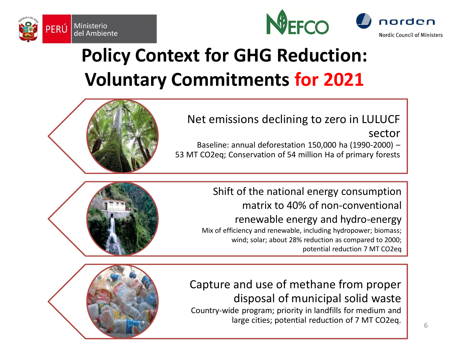



### **Policy Context for GHG Reduction: Voluntary Commitments for 2021**

Net emissions declining to zero in LULUCF sector

Baseline: annual deforestation 150,000 ha (1990-2000) – 53 MT CO2eq; Conservation of 54 million Ha of primary forests

> Shift of the national energy consumption matrix to 40% of non-conventional renewable energy and hydro-energy Mix of efficiency and renewable, including hydropower; biomass; wind; solar; about 28% reduction as compared to 2000; potential reduction 7 MT CO2eq

Capture and use of methane from proper disposal of municipal solid waste Country-wide program; priority in landfills for medium and large cities; potential reduction of 7 MT CO2eq.



Ministerio

del Ambiente

PERÚ

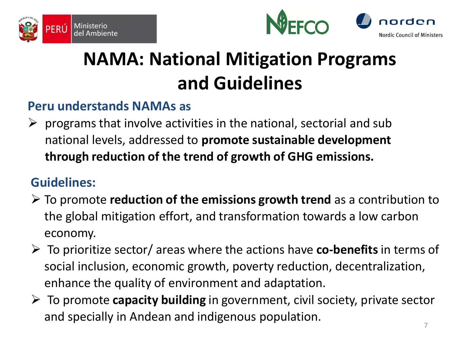





## **NAMA: National Mitigation Programs and Guidelines**

#### **Peru understands NAMAs as**

 $\triangleright$  programs that involve activities in the national, sectorial and sub national levels, addressed to **promote sustainable development through reduction of the trend of growth of GHG emissions.** 

#### **Guidelines:**

- To promote **reduction of the emissions growth trend** as a contribution to the global mitigation effort, and transformation towards a low carbon economy.
- To prioritize sector/ areas where the actions have **co-benefits**in terms of social inclusion, economic growth, poverty reduction, decentralization, enhance the quality of environment and adaptation.
- To promote **capacity building** in government, civil society, private sector and specially in Andean and indigenous population.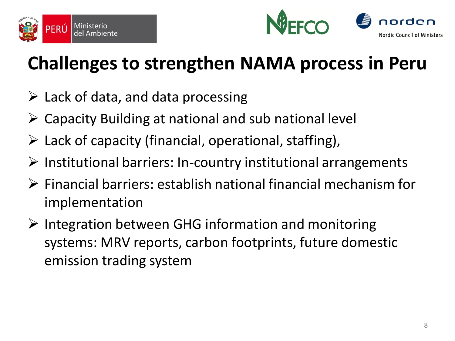



## **Challenges to strengthen NAMA process in Peru**

- $\triangleright$  Lack of data, and data processing
- $\triangleright$  Capacity Building at national and sub national level
- $\triangleright$  Lack of capacity (financial, operational, staffing),
- $\triangleright$  Institutional barriers: In-country institutional arrangements
- $\triangleright$  Financial barriers: establish national financial mechanism for implementation
- $\triangleright$  Integration between GHG information and monitoring systems: MRV reports, carbon footprints, future domestic emission trading system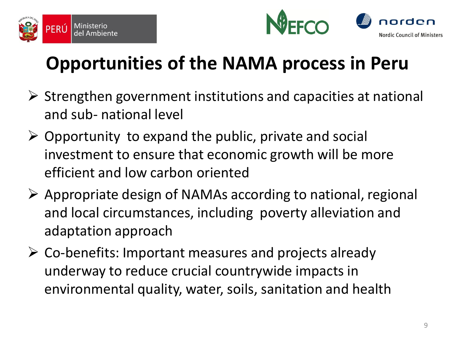



## **Opportunities of the NAMA process in Peru**

- $\triangleright$  Strengthen government institutions and capacities at national and sub- national level
- $\triangleright$  Opportunity to expand the public, private and social investment to ensure that economic growth will be more efficient and low carbon oriented
- $\triangleright$  Appropriate design of NAMAs according to national, regional and local circumstances, including poverty alleviation and adaptation approach
- $\triangleright$  Co-benefits: Important measures and projects already underway to reduce crucial countrywide impacts in environmental quality, water, soils, sanitation and health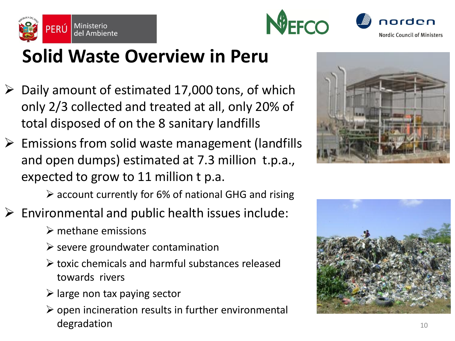





#### **Solid Waste Overview in Peru**

- $\triangleright$  Daily amount of estimated 17,000 tons, of which only 2/3 collected and treated at all, only 20% of total disposed of on the 8 sanitary landfills
- $\triangleright$  Emissions from solid waste management (landfills and open dumps) estimated at 7.3 million t.p.a., expected to grow to 11 million t p.a.



- account currently for 6% of national GHG and rising
- $\triangleright$  Environmental and public health issues include:
	- $\triangleright$  methane emissions
	- $\triangleright$  severe groundwater contamination
	- toxic chemicals and harmful substances released towards rivers
	- $\triangleright$  large non tax paying sector
	- $\triangleright$  open incineration results in further environmental degradation and the set of the set of the set of the set of the set of the set of the set of the set of the set of the set of the set of the set of the set of the set of the set of the set of the set of the set of the set

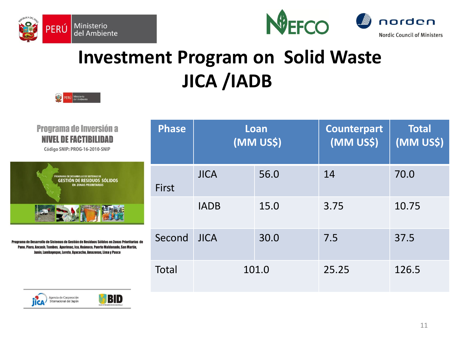

PERÚ Ministerio





### **Investment Program on Solid Waste JICA /IADB**

| <b>Programa de Inversión a</b><br><b>NIVEL DE FACTIBILIDAD</b><br>Código SNIP: PROG-16-2010-SNIP                                                                                                                                              | <b>Phase</b> | Loan<br>(MM US\$) |      | <b>Counterpart</b><br>(MM US\$) | <b>Total</b><br>(MM US\$) |
|-----------------------------------------------------------------------------------------------------------------------------------------------------------------------------------------------------------------------------------------------|--------------|-------------------|------|---------------------------------|---------------------------|
| PROGRAMA DE DESARROLLO DE SISTEMAS DE<br><b>GESTIÓN DE RESIDUOS SÓLIDOS</b><br><b>EN ZONAS PRIORITARIAS</b>                                                                                                                                   | First        | <b>JICA</b>       | 56.0 | 14                              | 70.0                      |
|                                                                                                                                                                                                                                               |              | <b>IADB</b>       | 15.0 | 3.75                            | 10.75                     |
| grama de Desarrollo de Sistemas de Gestión de Residuos Sólidos en Zonas Prioritarias  de<br>Puno, Piura, Ancash, Tumbes, Apurimac, Ica, Huánuco, Puerto Maldonado, San Martín,<br>Junín, Lambayeque, Loreto, Ayacucho, Amazonas, Lima y Pasco | Second       | <b>JICA</b>       | 30.0 | 7.5                             | 37.5                      |
|                                                                                                                                                                                                                                               | Total        | 101.0             |      | 25.25                           | 126.5                     |



**Progra**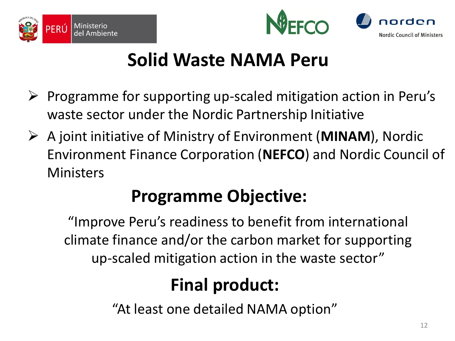





### **Solid Waste NAMA Peru**

- Programme for supporting up-scaled mitigation action in Peru's waste sector under the Nordic Partnership Initiative
- A joint initiative of Ministry of Environment (**MINAM**), Nordic Environment Finance Corporation (**NEFCO**) and Nordic Council of **Ministers**

#### **Programme Objective:**

"Improve Peru's readiness to benefit from international climate finance and/or the carbon market for supporting up-scaled mitigation action in the waste sector"

#### **Final product:**

"At least one detailed NAMA option"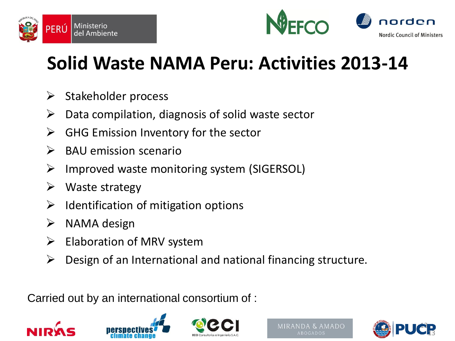



### **Solid Waste NAMA Peru: Activities 2013-14**

- $\triangleright$  Stakeholder process
- $\triangleright$  Data compilation, diagnosis of solid waste sector
- $\triangleright$  GHG Emission Inventory for the sector
- $\triangleright$  BAU emission scenario
- $\triangleright$  Improved waste monitoring system (SIGERSOL)
- $\triangleright$  Waste strategy
- $\triangleright$  Identification of mitigation options
- $\triangleright$  NAMA design
- $\triangleright$  Elaboration of MRV system
- $\triangleright$  Design of an International and national financing structure.

Carried out by an international consortium of :







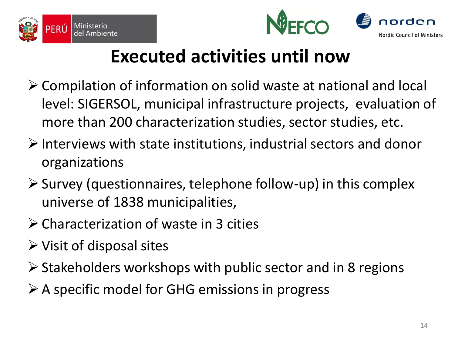





#### **Executed activities until now**

- Compilation of information on solid waste at national and local level: SIGERSOL, municipal infrastructure projects, evaluation of more than 200 characterization studies, sector studies, etc.
- $\triangleright$  Interviews with state institutions, industrial sectors and donor organizations
- $\triangleright$  Survey (questionnaires, telephone follow-up) in this complex universe of 1838 municipalities,
- Characterization of waste in 3 cities
- $\triangleright$  Visit of disposal sites
- $\triangleright$  Stakeholders workshops with public sector and in 8 regions
- $\triangleright$  A specific model for GHG emissions in progress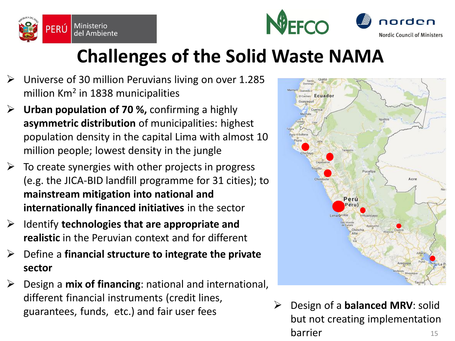





### **Challenges of the Solid Waste NAMA**

- $\triangleright$  Universe of 30 million Peruvians living on over 1.285 million Km<sup>2</sup> in 1838 municipalities
- **Urban population of 70 %,** confirming a highly **asymmetric distribution** of municipalities: highest population density in the capital Lima with almost 10 million people; lowest density in the jungle
- $\triangleright$  To create synergies with other projects in progress (e.g. the JICA-BID landfill programme for 31 cities); to **mainstream mitigation into national and internationally financed initiatives** in the sector
- Identify **technologies that are appropriate and realistic** in the Peruvian context and for different
- Define a **financial structure to integrate the private sector**
- $\triangleright$  Design a **mix of financing**: national and international, different financial instruments (credit lines, guarantees, funds, etc.) and fair user fees **Design of a balanced MRV**: solid guarantees, funds, etc.) and fair user fees



but not creating implementation **barrier** 15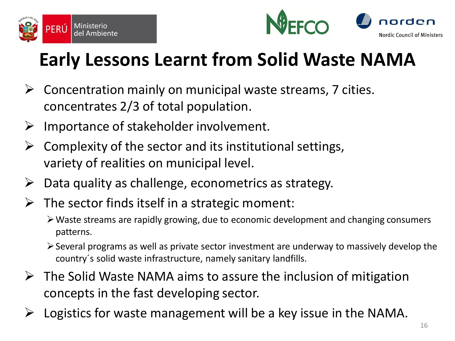



## **Early Lessons Learnt from Solid Waste NAMA**

- $\triangleright$  Concentration mainly on municipal waste streams, 7 cities. concentrates 2/3 of total population.
- $\triangleright$  Importance of stakeholder involvement.
- Complexity of the sector and its institutional settings, variety of realities on municipal level.
- $\triangleright$  Data quality as challenge, econometrics as strategy.
- $\triangleright$  The sector finds itself in a strategic moment:
	- Waste streams are rapidly growing, due to economic development and changing consumers patterns.
	- Several programs as well as private sector investment are underway to massively develop the country´s solid waste infrastructure, namely sanitary landfills.
- $\triangleright$  The Solid Waste NAMA aims to assure the inclusion of mitigation concepts in the fast developing sector.
- $\triangleright$  Logistics for waste management will be a key issue in the NAMA.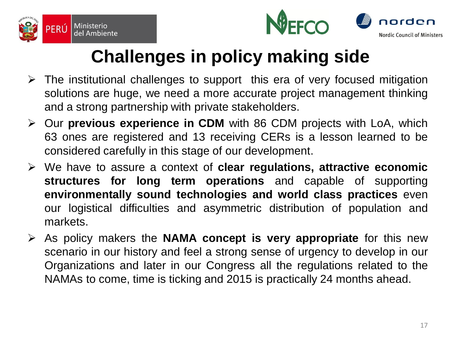





#### **Challenges in policy making side**

- $\triangleright$  The institutional challenges to support this era of very focused mitigation solutions are huge, we need a more accurate project management thinking and a strong partnership with private stakeholders.
- Our **previous experience in CDM** with 86 CDM projects with LoA, which 63 ones are registered and 13 receiving CERs is a lesson learned to be considered carefully in this stage of our development.
- We have to assure a context of **clear regulations, attractive economic structures for long term operations** and capable of supporting **environmentally sound technologies and world class practices** even our logistical difficulties and asymmetric distribution of population and markets.
- As policy makers the **NAMA concept is very appropriate** for this new scenario in our history and feel a strong sense of urgency to develop in our Organizations and later in our Congress all the regulations related to the NAMAs to come, time is ticking and 2015 is practically 24 months ahead.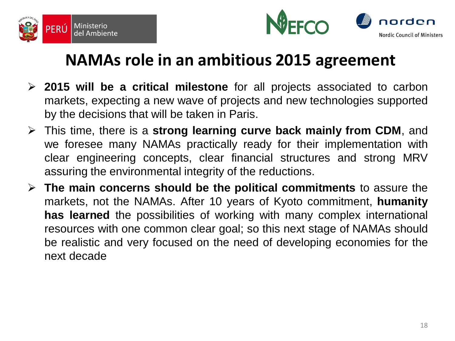



#### **NAMAs role in an ambitious 2015 agreement**

- **2015 will be a critical milestone** for all projects associated to carbon markets, expecting a new wave of projects and new technologies supported by the decisions that will be taken in Paris.
- This time, there is a **strong learning curve back mainly from CDM**, and we foresee many NAMAs practically ready for their implementation with clear engineering concepts, clear financial structures and strong MRV assuring the environmental integrity of the reductions.
- **The main concerns should be the political commitments** to assure the markets, not the NAMAs. After 10 years of Kyoto commitment, **humanity has learned** the possibilities of working with many complex international resources with one common clear goal; so this next stage of NAMAs should be realistic and very focused on the need of developing economies for the next decade